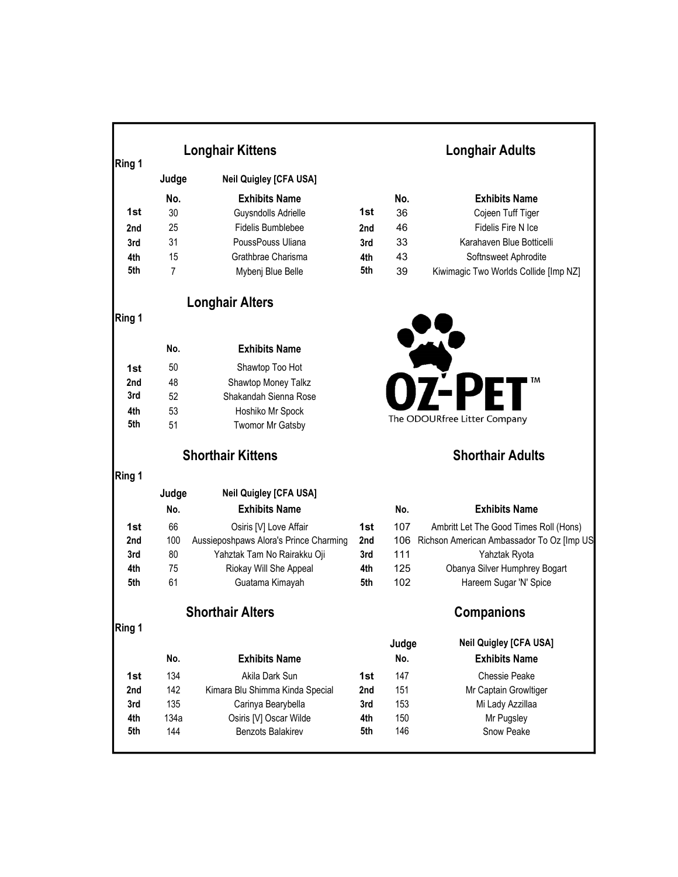|        |                | <b>Longhair Kittens</b>                |     |       | <b>Longhair Adults</b>                    |  |  |
|--------|----------------|----------------------------------------|-----|-------|-------------------------------------------|--|--|
| Ring 1 | Judge          | <b>Neil Quigley [CFA USA]</b>          |     |       |                                           |  |  |
|        | No.            | <b>Exhibits Name</b>                   |     | No.   | <b>Exhibits Name</b>                      |  |  |
| 1st    | 30             | Guysndolls Adrielle                    | 1st | 36    | Cojeen Tuff Tiger                         |  |  |
| 2nd    | 25             | <b>Fidelis Bumblebee</b>               | 2nd | 46    | Fidelis Fire N Ice                        |  |  |
| 3rd    | 31             | PoussPouss Uliana                      | 3rd | 33    | Karahaven Blue Botticelli                 |  |  |
| 4th    | 15             | Grathbrae Charisma                     | 4th | 43    | Softnsweet Aphrodite                      |  |  |
| 5th    | $\overline{7}$ | Mybenj Blue Belle                      | 5th | 39    | Kiwimagic Two Worlds Collide [Imp NZ]     |  |  |
|        |                | <b>Longhair Alters</b>                 |     |       |                                           |  |  |
| Ring 1 |                |                                        |     |       |                                           |  |  |
|        | No.            | <b>Exhibits Name</b>                   |     |       |                                           |  |  |
| 1st    | 50             | Shawtop Too Hot                        |     |       |                                           |  |  |
| 2nd    | 48             | Shawtop Money Talkz                    |     |       | I TM                                      |  |  |
| 3rd    | 52             | Shakandah Sienna Rose                  |     |       |                                           |  |  |
| 4th    | 53             | Hoshiko Mr Spock                       |     |       |                                           |  |  |
| 5th    | 51             | Twomor Mr Gatsby                       |     |       | The ODOURfree Litter Company              |  |  |
|        |                | <b>Shorthair Kittens</b>               |     |       | <b>Shorthair Adults</b>                   |  |  |
| Ring 1 |                |                                        |     |       |                                           |  |  |
|        | Judge          | <b>Neil Quigley [CFA USA]</b>          |     |       |                                           |  |  |
|        | No.            | <b>Exhibits Name</b>                   |     | No.   | <b>Exhibits Name</b>                      |  |  |
| 1st    | 66             | Osiris [V] Love Affair                 | 1st | 107   | Ambritt Let The Good Times Roll (Hons)    |  |  |
| 2nd    | 100            | Aussieposhpaws Alora's Prince Charming | 2nd | 106   | Richson American Ambassador To Oz [Imp US |  |  |
| 3rd    | 80             | Yahztak Tam No Rairakku Oji            | 3rd | 111   | Yahztak Ryota                             |  |  |
| 4th    | 75             | Riokay Will She Appeal                 | 4th | 125   | Obanya Silver Humphrey Bogart             |  |  |
| 5th    | 61             | Guatama Kimayah                        | 5th | 102   | Hareem Sugar 'N' Spice                    |  |  |
|        |                | <b>Shorthair Alters</b>                |     |       | <b>Companions</b>                         |  |  |
| Ring 1 |                |                                        |     | Judge | <b>Neil Quigley [CFA USA]</b>             |  |  |
|        | No.            | <b>Exhibits Name</b>                   |     | No.   | <b>Exhibits Name</b>                      |  |  |
| 1st    | 134            | Akila Dark Sun                         | 1st | 147   | Chessie Peake                             |  |  |
| 2nd    | 142            | Kimara Blu Shimma Kinda Special        | 2nd | 151   | Mr Captain Growltiger                     |  |  |
| 3rd    | 135            | Carinya Bearybella                     | 3rd | 153   | Mi Lady Azzillaa                          |  |  |
| 4th    | 134a           | Osiris [V] Oscar Wilde                 | 4th | 150   | Mr Pugsley                                |  |  |
| 5th    | 144            | Benzots Balakirev                      | 5th | 146   | Snow Peake                                |  |  |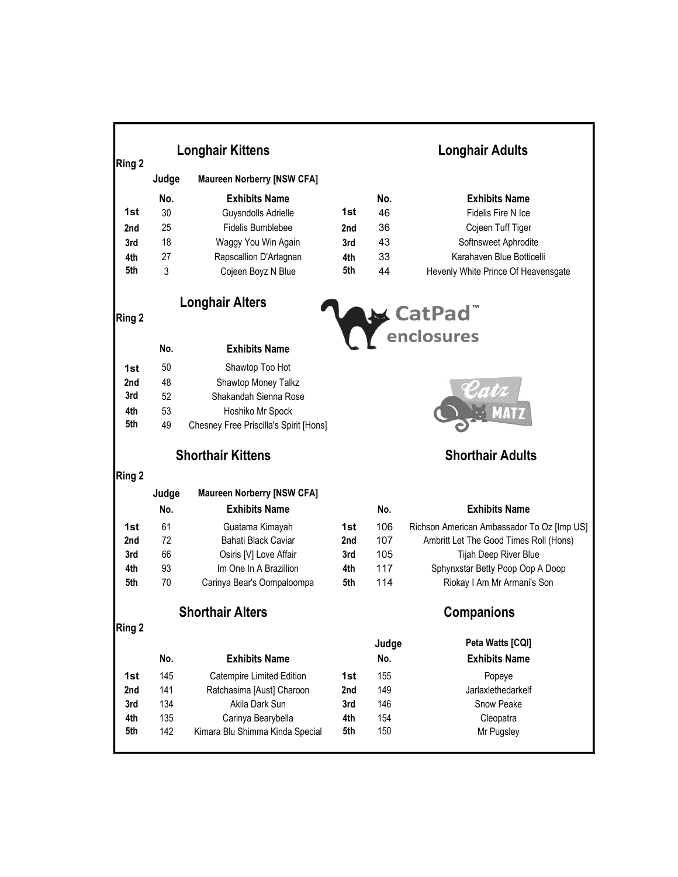|            | <b>Longhair Kittens</b> |                                        |            | <b>Longhair Adults</b>  |                                            |  |
|------------|-------------------------|----------------------------------------|------------|-------------------------|--------------------------------------------|--|
| Ring 2     | Judge                   | <b>Maureen Norberry [NSW CFA]</b>      |            |                         |                                            |  |
|            | No.                     | <b>Exhibits Name</b>                   |            | No.                     | <b>Exhibits Name</b>                       |  |
| 1st        | 30                      | Guysndolls Adrielle                    | 1st        | 46                      | Fidelis Fire N Ice                         |  |
| 2nd        | 25                      | <b>Fidelis Bumblebee</b>               | 2nd        | 36                      | Cojeen Tuff Tiger                          |  |
| 3rd        | 18                      | Waggy You Win Again                    | 3rd        | 43                      | Softnsweet Aphrodite                       |  |
| 4th        | 27                      | Rapscallion D'Artagnan                 | 4th        | 33                      | Karahaven Blue Botticelli                  |  |
| 5th        | 3                       | Cojeen Boyz N Blue                     | 5th        | 44                      | Hevenly White Prince Of Heavensgate        |  |
| Ring 2     |                         | <b>Longhair Alters</b>                 |            |                         |                                            |  |
|            |                         |                                        |            |                         | CatPad <sup>"</sup><br>enclosures          |  |
|            | No.                     | <b>Exhibits Name</b>                   |            |                         |                                            |  |
| 1st        | 50                      | Shawtop Too Hot                        |            |                         |                                            |  |
| 2nd        | 48                      | Shawtop Money Talkz                    |            |                         |                                            |  |
| 3rd        | 52                      | Shakandah Sienna Rose                  |            |                         |                                            |  |
| 4th        | 53                      | Hoshiko Mr Spock                       |            |                         |                                            |  |
| 5th        | 49                      | Chesney Free Priscilla's Spirit [Hons] |            |                         |                                            |  |
|            |                         | <b>Shorthair Kittens</b>               |            | <b>Shorthair Adults</b> |                                            |  |
| Ring 2     |                         |                                        |            |                         |                                            |  |
|            | Judge                   | <b>Maureen Norberry [NSW CFA]</b>      |            |                         |                                            |  |
|            | No.                     | <b>Exhibits Name</b>                   |            | No.                     | <b>Exhibits Name</b>                       |  |
| 1st        | 61                      | Guatama Kimayah                        | 1st        | 106                     | Richson American Ambassador To Oz [Imp US] |  |
| 2nd        | 72                      | Bahati Black Caviar                    | 2nd        | 107                     | Ambritt Let The Good Times Roll (Hons)     |  |
| 3rd        | 66                      | Osiris [V] Love Affair                 | 3rd        | 105                     | Tijah Deep River Blue                      |  |
| 4th        | 93                      | Im One In A Brazillion                 | 4th        | 117                     | Sphynxstar Betty Poop Oop A Doop           |  |
| 5th        | 70                      | Carinya Bear's Oompaloompa             | 5th        | 114                     | Riokay I Am Mr Armani's Son                |  |
|            |                         | <b>Shorthair Alters</b>                |            |                         | <b>Companions</b>                          |  |
| Ring 2     |                         |                                        |            |                         | Peta Watts [CQI]                           |  |
|            |                         |                                        |            | Judge                   |                                            |  |
|            | No.                     | <b>Exhibits Name</b>                   |            | No.                     | <b>Exhibits Name</b>                       |  |
| 1st        | 145                     | <b>Catempire Limited Edition</b>       | 1st        | 155                     | Popeye                                     |  |
| 2nd        | 141                     | Ratchasima [Aust] Charoon              | 2nd        | 149                     | Jarlaxlethedarkelf                         |  |
| 3rd<br>4th | 134<br>135              | Akila Dark Sun<br>Carinya Bearybella   | 3rd<br>4th | 146<br>154              | Snow Peake                                 |  |
| 5th        | 142                     | Kimara Blu Shimma Kinda Special        | 5th        | 150                     | Cleopatra<br>Mr Pugsley                    |  |
|            |                         |                                        |            |                         |                                            |  |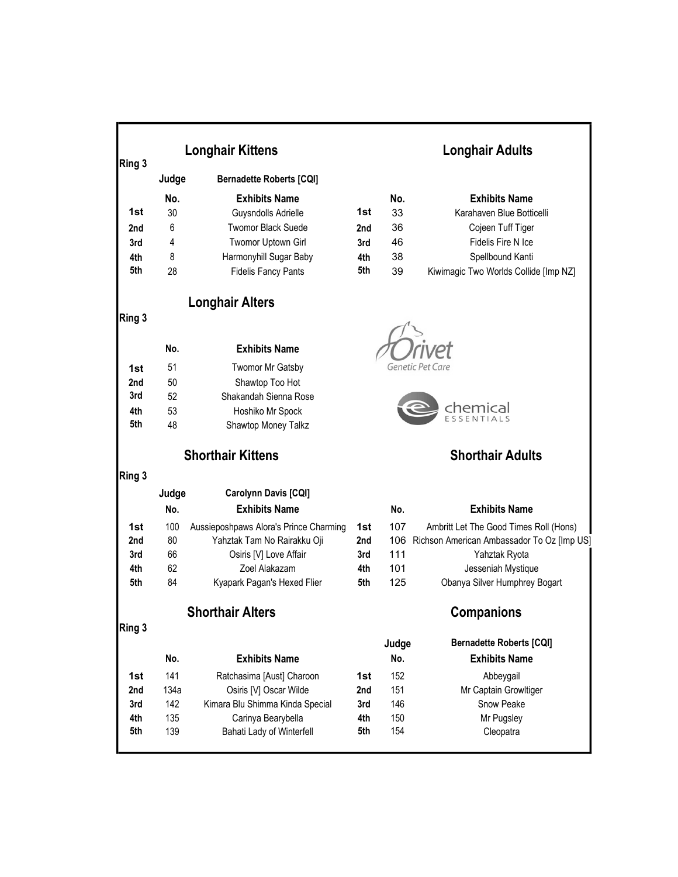| Ring 3 |       | <b>Longhair Kittens</b>                |     |       | <b>Longhair Adults</b>                         |
|--------|-------|----------------------------------------|-----|-------|------------------------------------------------|
|        | Judge | <b>Bernadette Roberts [CQI]</b>        |     |       |                                                |
|        | No.   | <b>Exhibits Name</b>                   |     | No.   | <b>Exhibits Name</b>                           |
| 1st    | 30    | Guysndolls Adrielle                    | 1st | 33    | Karahaven Blue Botticelli                      |
| 2nd    | 6     | <b>Twomor Black Suede</b>              | 2nd | 36    | Cojeen Tuff Tiger                              |
| 3rd    | 4     | Twomor Uptown Girl                     | 3rd | 46    | Fidelis Fire N Ice                             |
| 4th    | 8     | Harmonyhill Sugar Baby                 | 4th | 38    | Spellbound Kanti                               |
| 5th    | 28    | <b>Fidelis Fancy Pants</b>             | 5th | 39    | Kiwimagic Two Worlds Collide [Imp NZ]          |
|        |       | <b>Longhair Alters</b>                 |     |       |                                                |
| Ring 3 |       |                                        |     |       |                                                |
|        | No.   | <b>Exhibits Name</b>                   |     |       |                                                |
| 1st    | 51    | <b>Twomor Mr Gatsby</b>                |     |       |                                                |
| 2nd    | 50    | Shawtop Too Hot                        |     |       |                                                |
| 3rd    | 52    | Shakandah Sienna Rose                  |     |       |                                                |
| 4th    | 53    | Hoshiko Mr Spock                       |     |       | chemical                                       |
| 5th    | 48    | Shawtop Money Talkz                    |     |       |                                                |
|        |       | <b>Shorthair Kittens</b>               |     |       | <b>Shorthair Adults</b>                        |
| Ring 3 |       |                                        |     |       |                                                |
|        | Judge | Carolynn Davis [CQI]                   |     |       |                                                |
|        | No.   | <b>Exhibits Name</b>                   |     | No.   | <b>Exhibits Name</b>                           |
| 1st    | 100   | Aussieposhpaws Alora's Prince Charming | 1st | 107   | Ambritt Let The Good Times Roll (Hons)         |
| 2nd    | 80    | Yahztak Tam No Rairakku Oji            | 2nd |       | 106 Richson American Ambassador To Oz [Imp US] |
| 3rd    | 66    | Osiris [V] Love Affair                 | 3rd | 111   | Yahztak Ryota                                  |
| 4th    | 62    | Zoel Alakazam                          | 4th | 101   | Jesseniah Mystique                             |
| 5th    | 84    | Kyapark Pagan's Hexed Flier            | 5th | 125   | Obanya Silver Humphrey Bogart                  |
|        |       | <b>Shorthair Alters</b>                |     |       | <b>Companions</b>                              |
| Ring 3 |       |                                        |     | Judge | <b>Bernadette Roberts [CQI]</b>                |
|        | No.   | <b>Exhibits Name</b>                   |     | No.   | <b>Exhibits Name</b>                           |
| 1st    | 141   | Ratchasima [Aust] Charoon              | 1st | 152   | Abbeygail                                      |
| 2nd    | 134a  | Osiris [V] Oscar Wilde                 | 2nd | 151   | Mr Captain Growltiger                          |
|        | 142   | Kimara Blu Shimma Kinda Special        | 3rd | 146   | Snow Peake                                     |
| 3rd    |       |                                        |     |       |                                                |
| 4th    | 135   | Carinya Bearybella                     | 4th | 150   | Mr Pugsley                                     |